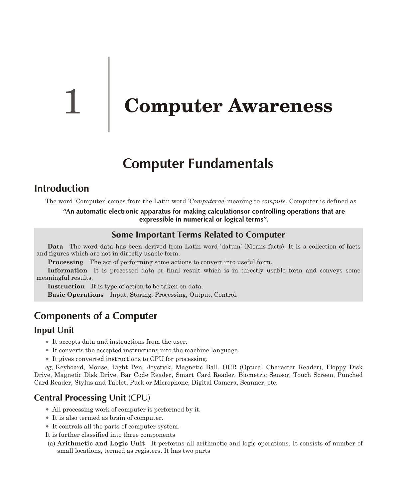# **Computer Awareness**

# **Computer Fundamentals**

# **Introduction**

The word 'Computer' comes from the Latin word '*Computerae*' meaning to *compute*. Computer is defined as

**"An automatic electronic apparatus for making calculationsor controlling operations that are expressible in numerical or logical terms".**

### **Some Important Terms Related to Computer**

**Data** The word data has been derived from Latin word 'datum' (Means facts). It is a collection of facts and figures which are not in directly usable form.

**Processing** The act of performing some actions to convert into useful form.

**Information** It is processed data or final result which is in directly usable form and conveys some meaningful results.

**Instruction** It is type of action to be taken on data.

**Basic Operations** Input, Storing, Processing, Output, Control.

# **Components of a Computer**

### **Input Unit**

- It accepts data and instructions from the user.
- $\bullet$  It converts the accepted instructions into the machine language.
- It gives converted instructions to CPU for processing.

eg, Keyboard, Mouse, Light Pen, Joystick, Magnetic Ball, OCR (Optical Character Reader), Floppy Disk Drive, Magnetic Disk Drive, Bar Code Reader, Smart Card Reader, Biometric Sensor, Touch Screen, Punched Card Reader, Stylus and Tablet, Puck or Microphone, Digital Camera, Scanner, etc.

# **Central Processing Unit** (CPU)

- All processing work of computer is performed by it.
- It is also termed as brain of computer.
- It controls all the parts of computer system.
- It is further classified into three components
- (a) **Arithmetic and Logic Unit** It performs all arithmetic and logic operations. It consists of number of small locations, termed as registers. It has two parts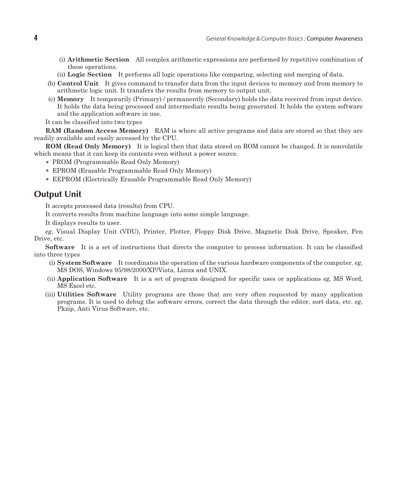- (i) **Arithmetic Section** All complex arithmetic expressions are performed by repetitive combination of these operations.
- (ii) **Logic Section** It performs all logic operations like comparing, selecting and merging of data.
- (b) **Control Unit** It gives command to transfer data from the input devices to memory and from memory to arithmetic logic unit. It transfers the results from memory to output unit.
- (c) **Memory** It temporarily (Primary) / permanently (Secondary) holds the data received from input device. It holds the data being processed and intermediate results being generated. It holds the system software and the application software in use.

It can be classified into two types

**RAM (Random Access Memory)** RAM is where all active programs and data are stored so that they are readily available and easily accessed by the CPU.

**ROM (Read Only Memory)** It is logical then that data stored on ROM cannot be changed. It is nonvolatile which means that it can keep its contents even without a power source.

- PROM (Programmable Read Only Memory)
- EPROM (Erasable Programmable Read Only Memory)
- EEPROM (Electrically Erasable Programmable Read Only Memory)

### **Output Unit**

It accepts processed data (results) from CPU.

It converts results from machine language into some simple language.

It displays results to user.

*eg*, Visual Display Unit (VDU), Printer, Plotter, Floppy Disk Drive, Magnetic Disk Drive, Speaker, Pen Drive, etc.

**Software** It is a set of instructions that directs the computer to process information. It can be classified into three types

- (i) **System Software** It coordinates the operation of the various hardware components of the computer. *eg*, MS DOS, Windows 95/98/2000/XP/Vista, Linux and UNIX.
- (ii) **Application Software** It is a set of program designed for specific uses or applications *eg*, MS Word, MS Excel etc.
- (iii) Utilities Software Utility programs are those that are very often requested by many application programs. It is used to debug the software errors, correct the data through the editor, sort data, etc. *eg*, Pkzip, Anti Virus Software, etc.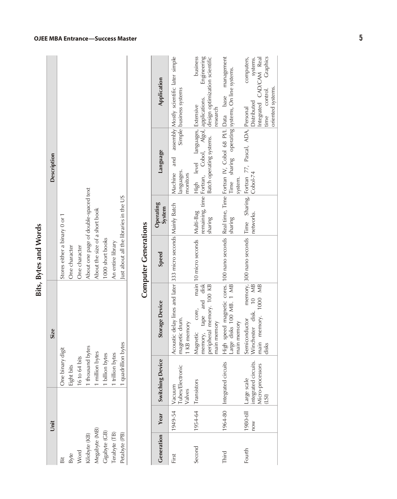| ¢<br>ã      |
|-------------|
| ë<br>J<br>¢ |
| É           |

| Description | Stores either a binary 0 or 1 |                             |                                    | About one page of double-spaced text | About the size of a short book |                                   |                                       | Just about all the libraries in the US |
|-------------|-------------------------------|-----------------------------|------------------------------------|--------------------------------------|--------------------------------|-----------------------------------|---------------------------------------|----------------------------------------|
| <b>Size</b> | One binary digit              | One character<br>Eight bits | One character<br>$16$ to $64$ bits | thousand bytes                       | 1 million bytes                | 1000 short books<br>billion bytes | An entire library<br>1 trillion bytes | tes<br>1 quadrillion by                |
| Unit        | Bit                           |                             | Byte<br>Word                       | Kilobyte (KB)                        | Megabyte (MB)                  | Cigabyte (CB)                     | Terabyte (TB)                         | Petabyte (PB)                          |

# **snoitareneGretupmoC**

| Generation | Year             | <b>Switching Device</b>                                         | Storage Device                                                                                                                                         | Speed                             | Operating<br>System | Language                                                                                | Application                                                                                                        |
|------------|------------------|-----------------------------------------------------------------|--------------------------------------------------------------------------------------------------------------------------------------------------------|-----------------------------------|---------------------|-----------------------------------------------------------------------------------------|--------------------------------------------------------------------------------------------------------------------|
| First      | 1949-54          | Vacuum<br>Tubes/Electronic<br>Valves                            | Acoustic delay lines and later 333 micro seconds Mainly Batch<br>magnetic drum.<br>KB memory                                                           |                                   |                     | Machine and<br>anguages.<br>monitors                                                    | assembly Mostly scientific later simple<br>Simple business systems                                                 |
| Second     |                  | 1954-64 Transistors                                             | memory, tape and disk<br>peripheral memory. 100 KB<br>core,<br>main memory<br>Magnetic                                                                 | main 10 micro seconds   Multi-Bag | sharing             | remaining, time Fortran, Cobol, Algol, applications.<br>High level languages, Extensive | business<br>Engineering<br>Batch operating systems.   design optimization scientific<br>research                   |
| Third      |                  | 1964-80 Integrated circuits                                     | High speed magnetic cores. 100 nano seconds Real time, Time Fortran IV, Cobol 68 PI/I. Data base management<br>Large disks 100 MB. 1 MB<br>main memory |                                   | sharing             | Time sharing operating systems, On line systems.<br>system.                             |                                                                                                                    |
| Fourth     | 1980-till<br>NOU | ntegrated circuits.<br>Vicro-processors<br>Large scale<br>(LSI) | Winchester disk. 10 MB<br>memory. 1000 MB<br>Semiconductor<br>main<br>disks                                                                            |                                   | networks.           | memory, 300 nano seconds Time Sharing, Fortran 77, Pascal, ADA, Personal<br>$Cobol-74$  | computers,<br>Graphics<br>Integrated CAD/CAM Real<br>systems.<br>oriented systems.<br>time control.<br>Distributed |

#### **OJEE MBA Entranc e—Suc cess Master**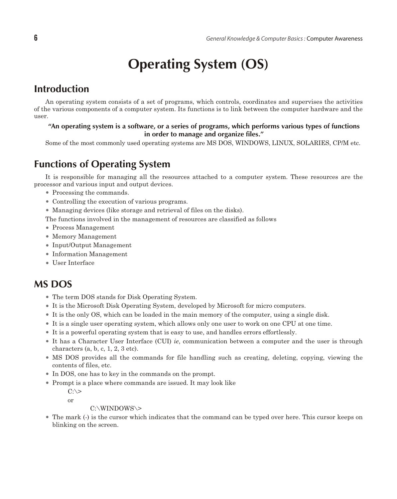# **Operating System (OS)**

# **Introduction**

An operating system consists of a set of programs, which controls, coordinates and supervises the activities of the various components of a computer system. Its functions is to link between the computer hardware and the user.

### "An operating system is a software, or a series of programs, which performs various types of functions in order to manage and organize files."

Some of the most commonly used operating systems are MS DOS, WINDOWS, LINUX, SOLARIES, CP/M etc.

# **Functions of Operating System**

It is responsible for managing all the resources attached to a computer system. These resources are the processor and various input and output devices.

- Processing the commands.
- Controlling the execution of various programs.
- Managing devices (like storage and retrieval of files on the disks).
- The functions involved in the management of resources are classified as follows
- Process Management
- Memory Management
- Input/Output Management
- Information Management
- User Interface

# **MS DOS**

- The term DOS stands for Disk Operating System.
- It is the Microsoft Disk Operating System, developed by Microsoft for micro computers.
- It is the only OS, which can be loaded in the main memory of the computer, using a single disk.
- <sup>l</sup> It is a single user operating system, which allows only one user to work on one CPU at one time.
- <sup>l</sup> It is a powerful operating system that is easy to use, and handles errors effortlessly.
- It has a Character User Interface (CUI) *ie*, communication between a computer and the user is through characters  $(a, b, c, 1, 2, 3 \text{ etc}).$
- MS DOS provides all the commands for file handling such as creating, deleting, copying, viewing the contents of files, etc.
- In DOS, one has to key in the commands on the prompt.
- Prompt is a place where commands are issued. It may look like

 $C:\&$ 

or

C:\WINDOWS\>

<sup>l</sup> The mark (-) is the cursor which indicates that the command can be typed over here. This cursor keeps on blinking on the screen.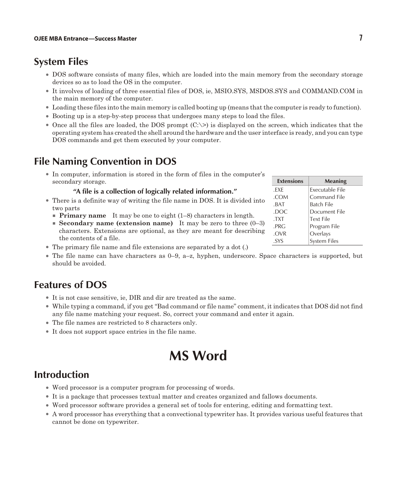# **System Files**

- <sup>l</sup> DOS software consists of many files, which are loaded into the main memory from the secondary storage devices so as to load the OS in the computer.
- It involves of loading of three essential files of DOS, ie, MSIO.SYS, MSDOS.SYS and COMMAND.COM in the main memory of the computer.
- <sup>l</sup> Loading these files into the main memory is called booting up (means that the computer is ready to function).
- <sup>l</sup> Booting up is a step-by-step process that undergoes many steps to load the files.
- Once all the files are loaded, the DOS prompt  $(C\gg)$  is displayed on the screen, which indicates that the operating system has created the shell around the hardware and the user interface is ready, and you can type DOS commands and get them executed by your computer.

# **File Naming Convention in DOS**

• In computer, information is stored in the form of files in the computer's secondary storage.

#### **"A file is a collection of logically related information."**

- There is a definite way of writing the file name in DOS. It is divided into two parts
	- **Primary name** It may be one to eight (1–8) characters in length.
	- **Secondary name (extension name)** It may be zero to three (0–3) characters. Extensions are optional, as they are meant for describing the contents of a file.
- $\bullet$  The primary file name and file extensions are separated by a dot (.)
- $\bullet$  The file name can have characters as 0–9, a–z, hyphen, underscore. Space characters is supported, but should be avoided.

# **Features of DOS**

- <sup>l</sup> It is not case sensitive, ie, DIR and dir are treated as the same.
- <sup>l</sup> While typing a command, if you get "Bad command or file name" comment, it indicates that DOS did not find any file name matching your request. So, correct your command and enter it again.
- The file names are restricted to 8 characters only.
- It does not support space entries in the file name.

# **MS Word**

# **Introduction**

- Word processor is a computer program for processing of words.
- It is a package that processes textual matter and creates organized and fallows documents.
- <sup>l</sup> Word processor software provides a general set of tools for entering, editing and formatting text.
- <sup>l</sup> A word processor has everything that a convectional typewriter has. It provides various useful features that cannot be done on typewriter.

| <b>Extensions</b> | Meaning             |
|-------------------|---------------------|
| .EXE              | Executable File     |
| .COM              | <b>Command File</b> |
| .BAT              | Batch File          |
| .DOC              | Document File       |
| .TXT              | <b>Text File</b>    |
| .PRG              | Program File        |
| .OVR              | Overlays            |
| .SYS              | <b>System Files</b> |
|                   |                     |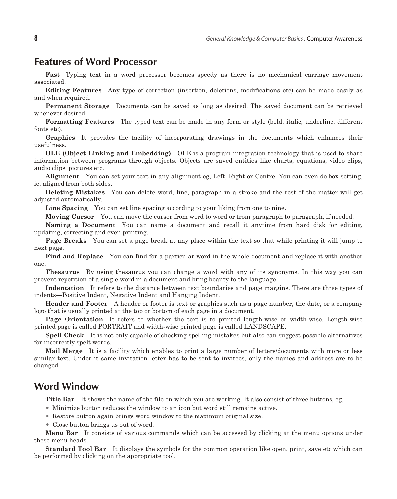### **Features of Word Processor**

**Fast** Typing text in a word processor becomes speedy as there is no mechanical carriage movement associated.

**Editing Features** Any type of correction (insertion, deletions, modifications etc) can be made easily as and when required.

**Permanent Storage** Documents can be saved as long as desired. The saved document can be retrieved whenever desired.

**Formatting Features** The typed text can be made in any form or style (bold, italic, underline, different fonts etc).

**Graphics** It provides the facility of incorporating drawings in the documents which enhances their usefulness.

**OLE (Object Linking and Embedding)** OLE is a program integration technology that is used to share information between programs through objects. Objects are saved entities like charts, equations, video clips, audio clips, pictures etc.

**Alignment** You can set your text in any alignment eg, Left, Right or Centre. You can even do box setting, ie, aligned from both sides.

**Deleting Mistakes** You can delete word, line, paragraph in a stroke and the rest of the matter will get adjusted automatically.

Line Spacing You can set line spacing according to your liking from one to nine.

**Moving Cursor** You can move the cursor from word to word or from paragraph to paragraph, if needed.

**Naming a Document** You can name a document and recall it any time from hard disk for editing, updating, correcting and even printing.

**Page Breaks** You can set a page break at any place within the text so that while printing it will jump to next page.

**Find and Replace** You can find for a particular word in the whole document and replace it with another one.

**The saurus** By using the saurus you can change a word with any of its synonyms. In this way you can prevent repetition of a single word in a document and bring beauty to the language.

**Indentation** It refers to the distance between text boundaries and page margins. There are three types of indents—Positive Indent, Negative Indent and Hanging Indent.

**Header and Footer** A header or footer is text or graphics such as a page number, the date, or a company logo that is usually printed at the top or bottom of each page in a document.

**Page Orientation** It refers to whether the text is to printed length-wise or width-wise. Length-wise printed page is called PORTRAIT and width-wise printed page is called LANDSCAPE.

**Spell Check** It is not only capable of checking spelling mistakes but also can suggest possible alternatives for incorrectly spelt words.

**Mail Merge** It is a facility which enables to print a large number of letters/documents with more or less similar text. Under it same invitation letter has to be sent to invitees, only the names and address are to be changed.

### **Word Window**

**Title Bar** It shows the name of the file on which you are working. It also consist of three buttons, eg,

- Minimize button reduces the window to an icon but word still remains active.
- Restore button again brings word window to the maximum original size.
- Close button brings us out of word.

**Menu Bar** It consists of various commands which can be accessed by clicking at the menu options under these menu heads.

**Standard Tool Bar** It displays the symbols for the common operation like open, print, save etc which can be performed by clicking on the appropriate tool.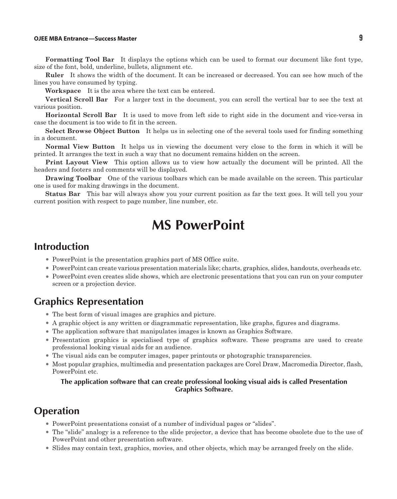### **OJEE MBA Entrance—Success Master 9**

Formatting Tool Bar It displays the options which can be used to format our document like font type, size of the font, bold, underline, bullets, alignment etc.

**Ruler** It shows the width of the document. It can be increased or decreased. You can see how much of the lines you have consumed by typing.

**Workspace** It is the area where the text can be entered.

**Vertical Scroll Bar** For a larger text in the document, you can scroll the vertical bar to see the text at various position.

**Horizontal Scroll Bar** It is used to move from left side to right side in the document and vice-versa in case the document is too wide to fit in the screen.

**Select Browse Object Button** It helps us in selecting one of the several tools used for finding something in a document.

**Normal View Button** It helps us in viewing the document very close to the form in which it will be printed. It arranges the text in such a way that no document remains hidden on the screen.

**Print Layout View** This option allows us to view how actually the document will be printed. All the headers and footers and comments will be displayed.

**Drawing Toolbar** One of the various toolbars which can be made available on the screen. This particular one is used for making drawings in the document.

**Status Bar** This bar will always show you your current position as far the text goes. It will tell you your current position with respect to page number, line number, etc.

# **MS PowerPoint**

# **Introduction**

- PowerPoint is the presentation graphics part of MS Office suite.
- <sup>l</sup> PowerPoint can create various presentation materials like; charts, graphics, slides, handouts, overheads etc.
- PowerPoint even creates slide shows, which are electronic presentations that you can run on your computer screen or a projection device.

### **Graphics Representation**

- The best form of visual images are graphics and picture.
- <sup>l</sup> A graphic object is any written or diagrammatic representation, like graphs, figures and diagrams.
- <sup>l</sup> The application software that manipulates images is known as Graphics Software.
- <sup>l</sup> Presentation graphics is specialised type of graphics software. These programs are used to create professional looking visual aids for an audience.
- <sup>l</sup> The visual aids can be computer images, paper printouts or photographic transparencies.
- Most popular graphics, multimedia and presentation packages are Corel Draw, Macromedia Director, flash, PowerPoint etc.

### **The application software that can create professional looking visual aids is called Presentation Graphics Software.**

### **Operation**

- PowerPoint presentations consist of a number of individual pages or "slides".
- <sup>l</sup> The "slide" analogy is a reference to the slide projector, a device that has become obsolete due to the use of PowerPoint and other presentation software.
- <sup>l</sup> Slides may contain text, graphics, movies, and other objects, which may be arranged freely on the slide.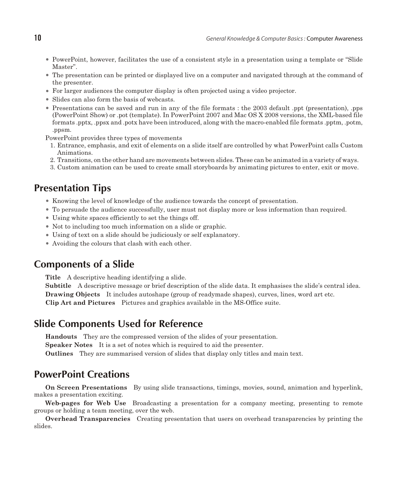- PowerPoint, however, facilitates the use of a consistent style in a presentation using a template or "Slide" Master".
- <sup>l</sup> The presentation can be printed or displayed live on a computer and navigated through at the command of the presenter.
- <sup>l</sup> For larger audiences the computer display is often projected using a video projector.
- Slides can also form the basis of webcasts.
- Presentations can be saved and run in any of the file formats : the 2003 default .ppt (presentation), .pps (PowerPoint Show) or .pot (template). In PowerPoint 2007 and Mac OS X 2008 versions, the XML-based file formats .pptx, .ppsx and .potx have been introduced, along with the macro-enabled file formats .pptm, .potm, .ppsm.

PowerPoint provides three types of movements

- 1. Entrance, emphasis, and exit of elements on a slide itself are controlled by what PowerPoint calls Custom Animations.
- 2. Transitions, on the other hand are movements between slides. These can be animated in a variety of ways.
- 3. Custom animation can be used to create small storyboards by animating pictures to enter, exit or move.

# **Presentation Tips**

- <sup>l</sup> Knowing the level of knowledge of the audience towards the concept of presentation.
- To persuade the audience successfully, user must not display more or less information than required.
- Using white spaces efficiently to set the things off.
- Not to including too much information on a slide or graphic.
- <sup>l</sup> Using of text on a slide should be judiciously or self explanatory.
- Avoiding the colours that clash with each other.

### **Components of a Slide**

**Title** A descriptive heading identifying a slide.

**Subtitle** A descriptive message or brief description of the slide data. It emphasises the slide's central idea. **Drawing Objects** It includes autoshape (group of readymade shapes), curves, lines, word art etc. **Clip Art and Pictures** Pictures and graphics available in the MS-Office suite.

# **Slide Components Used for Reference**

**Handouts** They are the compressed version of the slides of your presentation.

**Speaker Notes** It is a set of notes which is required to aid the presenter.

**Outlines** They are summarised version of slides that display only titles and main text.

# **PowerPoint Creations**

**On Screen Presentations** By using slide transactions, timings, movies, sound, animation and hyperlink, makes a presentation exciting.

Web-pages for Web Use Broadcasting a presentation for a company meeting, presenting to remote groups or holding a team meeting, over the web.

**Overhead Transparencies** Creating presentation that users on overhead transparencies by printing the slides.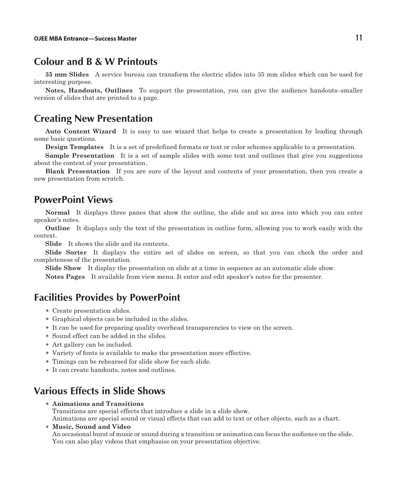### **Colour and B & W Printouts**

**35 mm Slides** A service bureau can transform the electric slides into 35 mm slides which can be used for interesting purpose.

**Notes, Handouts, Outlines** To support the presentation, you can give the audience handouts–smaller version of slides that are printed to a page.

# **Creating New Presentation**

**Auto Content Wizard** It is easy to use wizard that helps to create a presentation by leading through some basic questions.

**Design Templates** It is a set of predefined formats or text or color schemes applicable to a presentation.

**Sample Presentation** It is a set of sample slides with some text and outlines that give you suggestions about the context of your presentation.

**Blank Presentation** If you are sure of the layout and contents of your presentation, then you create a new presentation from scratch.

### **PowerPoint Views**

**Normal** It displays three panes that show the outline, the slide and an area into which you can enter speaker's notes.

**Outline** It displays only the text of the presentation in outline form, allowing you to work easily with the context.

**Slide** It shows the slide and its contents.

Slide Sorter It displays the entire set of slides on screen, so that you can check the order and completeness of the presentation.

**Slide Show** It display the presentation on slide at a time in sequence as an automatic slide show.

**Notes Pages** It available from view menu. It enter and edit speaker's notes for the presenter.

### **Facilities Provides by PowerPoint**

- Create presentation slides.
- Graphical objects can be included in the slides.
- It can be used for preparing quality overhead transparencies to view on the screen.
- Sound effect can be added in the slides.
- Art gallery can be included.
- <sup>l</sup> Variety of fonts is available to make the presentation more effective.
- Timings can be rehearsed for slide show for each slide.
- It can create handouts, notes and outlines.

# **Various Effects in Slide Shows**

<sup>l</sup> **Animations and Transitions**

Transitions are special effects that introduce a slide in a slide show.

Animations are special sound or visual effects that can add to text or other objects, such as a chart.

### **Music, Sound and Video**

An occasional burst of music or sound during a transition or animation can focus the audience on the slide. You can also play videos that emphasise on your presentation objective.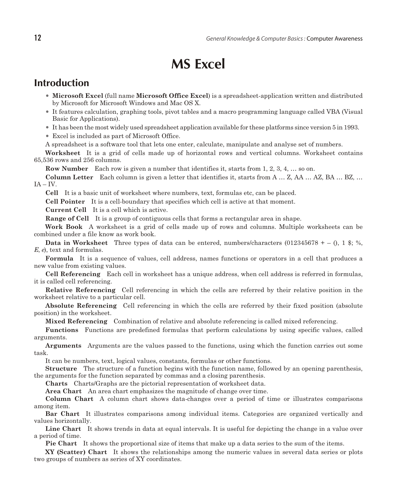# **MS Excel**

## **Introduction**

- **Microsoft Excel** (full name **Microsoft Office Excel**) is a spread sheet-application written and distributed by Microsoft for Microsoft Windows and Mac OS X.
- It features calculation, graphing tools, pivot tables and a macro programming language called VBA (Visual Basic for Applications).
- <sup>l</sup> It has been the most widely used spreadsheet application available for these platforms since version 5 in 1993.
- Excel is included as part of Microsoft Office.

A spreadsheet is a software tool that lets one enter, calculate, manipulate and analyse set of numbers.

Worksheet It is a grid of cells made up of horizontal rows and vertical columns. Worksheet contains  $65,536$  rows and  $256$  columns.

**Row Number** Each row is given a number that identifies it, starts from 1, 2, 3, 4, ... so on.

**Column Letter** Each column is given a letter that identifies it, starts from A ... Z, AA ... AZ, BA ... BZ, ...  $IA - IV$ .

**Cell** It is a basic unit of worksheet where numbers, text, formulas etc, can be placed.

**Cell Pointer** It is a cell-boundary that specifies which cell is active at that moment.

**Current Cell** It is a cell which is active.

**Range of Cell** It is a group of contiguous cells that forms a rectangular area in shape.

**Work Book** A worksheet is a grid of cells made up of rows and columns. Multiple worksheets can be com bined un der a file know as work book.

**Data in Worksheet** Three types of data can be entered, numbers/characters (012345678 + – 0, 1 \$; %, *E*, *e*), text and formulas.

**Formula** It is a sequence of values, cell address, names functions or operators in a cell that produces a new value from existing values.

**Cell Referencing** Each cell in worksheet has a unique address, when cell address is referred in formulas, it is called cell referencing.

**Relative Referencing** Cell referencing in which the cells are referred by their relative position in the worksheet relative to a particular cell.

**Absolute Referencing** Cell referencing in which the cells are referred by their fixed position (absolute position) in the worksheet.

**Mixed Referencing** Combination of relative and absolute referencing is called mixed referencing.

**Functions** Functions are predefined formulas that perform calculations by using specific values, called arguments.

**Arguments** Arguments are the values passed to the functions, using which the function carries out some task.

It can be numbers, text, logical values, constants, formulas or other functions.

**Structure** The structure of a function begins with the function name, followed by an opening parenthesis, the arguments for the function separated by commas and a closing parenthesis.

**Charts** Charts/Graphs are the pictorial representation of worksheet data.

**Area Chart** An area chart emphasizes the magnitude of change over time.

**Column Chart** A column chart shows data-changes over a period of time or illustrates comparisons among item.

**Bar Chart** It illustrates comparisons among individual items. Categories are organized vertically and values horizontally.

**Line Chart** It shows trends in data at equal intervals. It is useful for depicting the change in a value over a period of time.

**Pie Chart** It shows the proportional size of items that make up a data series to the sum of the items.

**XY (Scatter) Chart** It shows the relationships among the numeric values in several data series or plots two groups of numbers as series of XY coordinates.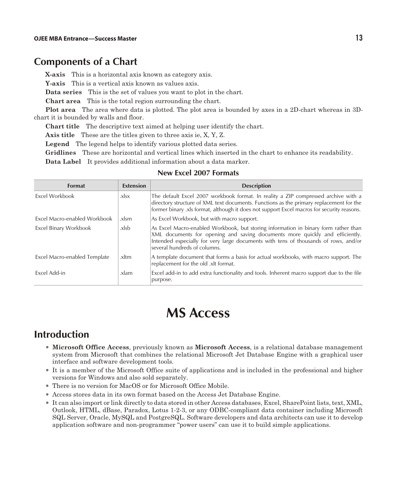# **Components of a Chart**

**X-axis** This is a horizontal axis known as category axis.

**Y-axis** This is a vertical axis known as values axis.

**Data series** This is the set of values you want to plot in the chart.

**Chart area** This is the total region surrounding the chart.

**Plot area** The area where data is plotted. The plot area is bounded by axes in a 2D-chart whereas in 3Dchart it is bounded by walls and floor.

**Chart title** The descriptive text aimed at helping user identify the chart.

**Axis title** These are the titles given to three axis ie, X, Y, Z.

**Legend** The legend helps to identify various plotted data series.

**Gridlines** These are horizontal and vertical lines which inserted in the chart to enhance its readability.

**Data Label** It provides additional information about a data marker.

#### **New Excel 2007 Formats**

| <b>Format</b>                | <b>Extension</b> | <b>Description</b>                                                                                                                                                                                                                                                                         |
|------------------------------|------------------|--------------------------------------------------------------------------------------------------------------------------------------------------------------------------------------------------------------------------------------------------------------------------------------------|
| Excel Workbook               | .xlsx            | The default Excel 2007 workbook format. In reality a ZIP compressed archive with a<br>directory structure of XML text documents. Functions as the primary replacement for the<br>former binary .xls format, although it does not support Excel macros for security reasons.                |
| Excel Macro-enabled Workbook | .xlsm            | As Excel Workbook, but with macro support.                                                                                                                                                                                                                                                 |
| Excel Binary Workbook        | .xlsb            | As Excel Macro-enabled Workbook, but storing information in binary form rather than<br>XML documents for opening and saving documents more quickly and efficiently.<br>Intended especially for very large documents with tens of thousands of rows, and/or<br>several hundreds of columns. |
| Excel Macro-enabled Template | .xltm            | A template document that forms a basis for actual workbooks, with macro support. The<br>replacement for the old .xlt format.                                                                                                                                                               |
| Excel Add-in                 | .xlam            | Excel add-in to add extra functionality and tools. Inherent macro support due to the file<br>purpose.                                                                                                                                                                                      |

# **MS Access**

# **Introduction**

- <sup>l</sup> **Microsoft Office Access**, previously known as **Microsoft Access**, is a relational database management system from Microsoft that combines the relational Microsoft Jet Database Engine with a graphical user interface and software development tools.
- <sup>l</sup> It is a member of the Microsoft Office suite of applications and is included in the professional and higher versions for Windows and also sold separately.
- There is no version for MacOS or for Microsoft Office Mobile.
- <sup>l</sup> Access stores data in its own format based on the Access Jet Database Engine.
- <sup>l</sup> It can also import or link directly to data stored in other Access databases, Excel, SharePoint lists, text, XML, Outlook, HTML, dBase, Paradox, Lotus 1-2-3, or any ODBC-compliant data container including Microsoft SQL Server, Oracle, MySQL and PostgreSQL. Software developers and data architects can use it to develop application software and non-programmer "power users" can use it to build simple applications.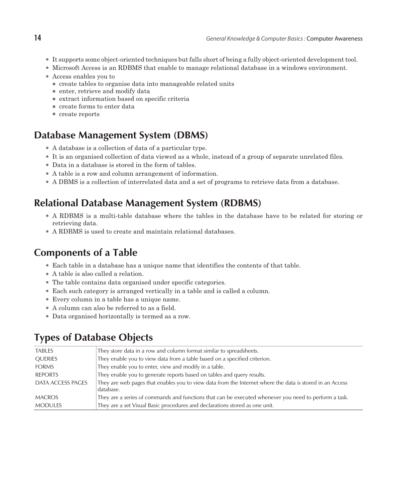- <sup>l</sup> It supports some object-oriented techniques but falls short of being a fully object-oriented development tool.
- Microsoft Access is an RDBMS that enable to manage relational database in a windows environment.
- Access enables you to
	- $\blacksquare$  create tables to organise data into manageable related units
	- $\blacksquare$  enter, retrieve and modify data
	- <sup>n</sup> extract information based on specific criteria
	- $\blacksquare$  create forms to enter data
	- $\blacksquare$  create reports

# **Database Management System (DBMS)**

- A database is a collection of data of a particular type.
- <sup>l</sup> It is an organised collection of data viewed as a whole, instead of a group of separate unrelated files.
- Data in a database is stored in the form of tables.
- <sup>l</sup> A table is a row and column arrangement of information.
- A DBMS is a collection of interrelated data and a set of programs to retrieve data from a database.

# **Relational Database Management System (RDBMS)**

- A RDBMS is a multi-table database where the tables in the database have to be related for storing or retrieving data.
- A RDBMS is used to create and maintain relational databases.

# **Components of a Table**

- Each table in a database has a unique name that identifies the contents of that table.
- A table is also called a relation.
- The table contains data organised under specific categories.
- Each such category is arranged vertically in a table and is called a column.
- Every column in a table has a unique name.
- A column can also be referred to as a field.
- Data organised horizontally is termed as a row.

# **Types of Database Objects**

| <b>TABLES</b>     | They store data in a row and column format similar to spreadsheets.                                                   |
|-------------------|-----------------------------------------------------------------------------------------------------------------------|
| QUERIES           | They enable you to view data from a table based on a specified criterion.                                             |
| <b>FORMS</b>      | They enable you to enter, view and modify in a table.                                                                 |
| <b>REPORTS</b>    | They enable you to generate reports based on tables and query results.                                                |
| DATA ACCESS PAGES | They are web pages that enables you to view data from the Internet where the data is stored in an Access<br>database. |
| <b>MACROS</b>     | They are a series of commands and functions that can be executed whenever you need to perform a task.                 |
| <b>MODULES</b>    | They are a set Visual Basic procedures and declarations stored as one unit.                                           |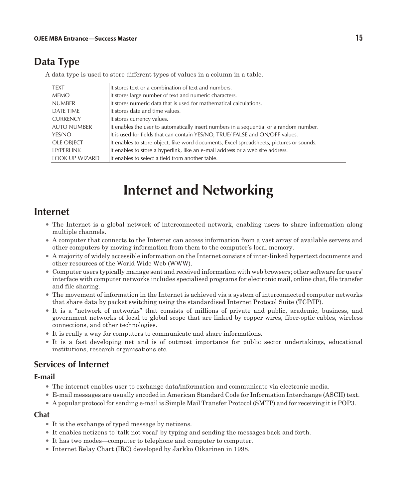# **Data Type**

A data type is used to store different types of values in a column in a table.

| <b>TEXT</b>           | It stores text or a combination of text and numbers.                                     |
|-----------------------|------------------------------------------------------------------------------------------|
| <b>MEMO</b>           | It stores large number of text and numeric characters.                                   |
| <b>NUMBER</b>         | It stores numeric data that is used for mathematical calculations.                       |
| DATE TIME             | It stores date and time values.                                                          |
| <b>CURRENCY</b>       | It stores currency values.                                                               |
| <b>AUTO NUMBER</b>    | It enables the user to automatically insert numbers in a sequential or a random number.  |
| YES/NO                | It is used for fields that can contain YES/NO, TRUE/ FALSE and ON/OFF values.            |
| <b>OLE OBJECT</b>     | It enables to store object, like word documents, Excel spreadsheets, pictures or sounds. |
| <b>HYPERLINK</b>      | It enables to store a hyperlink, like an e-mail address or a web site address.           |
| <b>LOOK UP WIZARD</b> | It enables to select a field from another table.                                         |

# **Internet and Networking**

# **Internet**

- The Internet is a global network of interconnected network, enabling users to share information along multiple channels.
- <sup>l</sup> A computer that connects to the Internet can access information from a vast array of available servers and other computers by moving information from them to the computer's local memory.
- <sup>l</sup> A majority of widely accessible information on the Internet consists of inter-linked hypertext documents and other resources of the World Wide Web (WWW).
- <sup>l</sup> Computer users typically manage sent and received information with web browsers; other software for users' interface with computer networks includes specialised programs for electronic mail, online chat, file transfer and file sharing.
- <sup>l</sup> The movement of information in the Internet is achieved via a system of interconnected computer networks that share data by packet switching using the standardised Internet Protocol Suite (TCP/IP).
- <sup>l</sup> It is a "network of networks" that consists of millions of private and public, academic, business, and government networks of local to global scope that are linked by copper wires, fiber-optic cables, wireless connections, and other technologies.
- <sup>l</sup> It is really a way for computers to communicate and share informations.
- <sup>l</sup> It is a fast developing net and is of outmost importance for public sector undertakings, educational institutions, research organisations etc.

### **Services of Internet**

### **E-mail**

- <sup>l</sup> The internet enables user to exchange data/information and communicate via electronic media.
- <sup>l</sup> E-mail messages are usually encoded in American Standard Code for Information Interchange (ASCII) text.
- <sup>l</sup> A popular protocol for sending e-mail is Simple Mail Transfer Protocol (SMTP) and for receiving it is POP3.

### **Chat**

- It is the exchange of typed message by netizens.
- It enables netizens to 'talk not vocal' by typing and sending the messages back and forth.
- <sup>l</sup> It has two modes—computer to telephone and computer to computer.
- Internet Relay Chart (IRC) developed by Jarkko Oikarinen in 1998.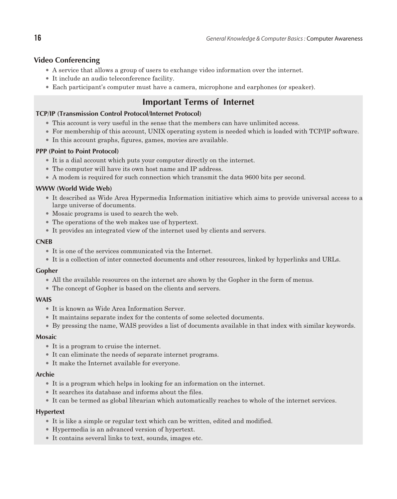### **Video Conferencing**

- <sup>l</sup> A service that allows a group of users to exchange video information over the internet.
- It include an audio teleconference facility.
- <sup>l</sup> Each participant's computer must have a camera, microphone and earphones (or speaker).

# **Important Terms of Internet**

### **TCP/IP (Transmission Control Protocol/Internet Protocol)**

- <sup>l</sup> This account is very useful in the sense that the members can have unlimited access.
- <sup>l</sup> For membership of this account, UNIX operating system is needed which is loaded with TCP/IP software.
- In this account graphs, figures, games, movies are available.

### **PPP (Point to Point Protocol)**

- It is a dial account which puts your computer directly on the internet.
- The computer will have its own host name and IP address.
- A modem is required for such connection which transmit the data 9600 bits per second.

### **WWW (World Wide Web)**

- <sup>l</sup> It described as Wide Area Hypermedia Information initiative which aims to provide universal access to a large universe of documents.
- Mosaic programs is used to search the web.
- The operations of the web makes use of hypertext.
- It provides an integrated view of the internet used by clients and servers.

#### **CNEB**

- <sup>l</sup> It is one of the services communicated via the Internet.
- <sup>l</sup> It is a collection of inter connected documents and other resources, linked by hyperlinks and URLs.

### **Gopher**

- All the available resources on the internet are shown by the Gopher in the form of menus.
- The concept of Gopher is based on the clients and servers.

### **WAIS**

- It is known as Wide Area Information Server.
- It maintains separate index for the contents of some selected documents.
- <sup>l</sup> By pressing the name, WAIS provides a list of documents available in that index with similar keywords.

#### **Mosaic**

- It is a program to cruise the internet.
- It can eliminate the needs of separate internet programs.
- It make the Internet available for everyone.

#### **Archie**

- It is a program which helps in looking for an information on the internet.
- <sup>l</sup> It searches its database and informs about the files.
- It can be termed as global librarian which automatically reaches to whole of the internet services.

### **Hypertext**

- It is like a simple or regular text which can be written, edited and modified.
- <sup>l</sup> Hypermedia is an advanced version of hypertext.
- It contains several links to text, sounds, images etc.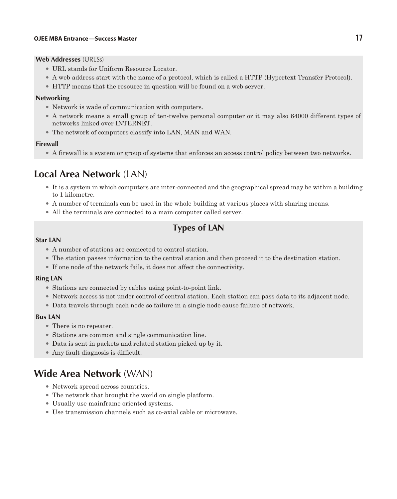#### **Web Addresses** (URLSs)

- URL stands for Uniform Resource Locator.
- A web address start with the name of a protocol, which is called a HTTP (Hypertext Transfer Protocol).
- <sup>l</sup> HTTP means that the resource in question will be found on a web server.

#### **Networking**

- Network is wade of communication with computers.
- A network means a small group of ten-twelve personal computer or it may also 64000 different types of networks linked over INTERNET.
- The network of computers classify into LAN, MAN and WAN.

### **Firewall**

<sup>l</sup> A firewall is a system or group of systems that enforces an access control policy between two networks.

# **Local Area Network** (LAN)

- <sup>l</sup> It is a system in which computers are inter-connected and the geographical spread may be within a building to 1 kilometre.
- <sup>l</sup> A number of terminals can be used in the whole building at various places with sharing means.
- All the terminals are connected to a main computer called server.

# **Types of LAN**

#### **Star LAN**

- <sup>l</sup> A number of stations are connected to control station.
- <sup>l</sup> The station passes information to the central station and then proceed it to the destination station.
- $\bullet$  If one node of the network fails, it does not affect the connectivity.

#### **Ring LAN**

- Stations are connected by cables using point-to-point link.
- Network access is not under control of central station. Each station can pass data to its adjacent node.
- Data travels through each node so failure in a single node cause failure of network.

#### **Bus LAN**

- There is no repeater.
- Stations are common and single communication line.
- <sup>l</sup> Data is sent in packets and related station picked up by it.
- Any fault diagnosis is difficult.

# **Wide Area Network** (WAN)

- Network spread across countries.
- The network that brought the world on single platform.
- Usually use mainframe oriented systems.
- <sup>l</sup> Use transmission channels such as co-axial cable or microwave.